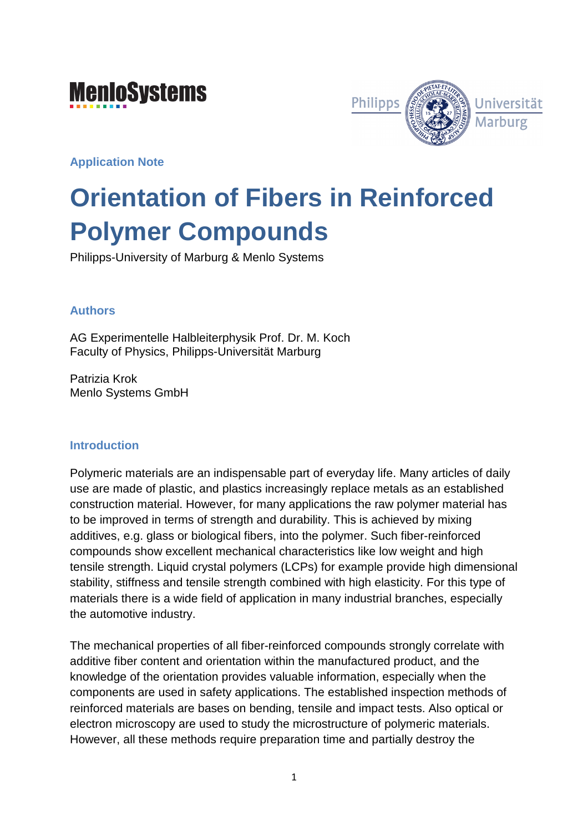## **MenioSystems**



**Application Note** 

# **Orientation of Fibers in Reinforced Polymer Compounds**

Philipps-University of Marburg & Menlo Systems

### **Authors**

AG Experimentelle Halbleiterphysik Prof. Dr. M. Koch Faculty of Physics, Philipps-Universität Marburg

Patrizia Krok Menlo Systems GmbH

#### **Introduction**

Polymeric materials are an indispensable part of everyday life. Many articles of daily use are made of plastic, and plastics increasingly replace metals as an established construction material. However, for many applications the raw polymer material has to be improved in terms of strength and durability. This is achieved by mixing additives, e.g. glass or biological fibers, into the polymer. Such fiber-reinforced compounds show excellent mechanical characteristics like low weight and high tensile strength. Liquid crystal polymers (LCPs) for example provide high dimensional stability, stiffness and tensile strength combined with high elasticity. For this type of materials there is a wide field of application in many industrial branches, especially the automotive industry.

The mechanical properties of all fiber-reinforced compounds strongly correlate with additive fiber content and orientation within the manufactured product, and the knowledge of the orientation provides valuable information, especially when the components are used in safety applications. The established inspection methods of reinforced materials are bases on bending, tensile and impact tests. Also optical or electron microscopy are used to study the microstructure of polymeric materials. However, all these methods require preparation time and partially destroy the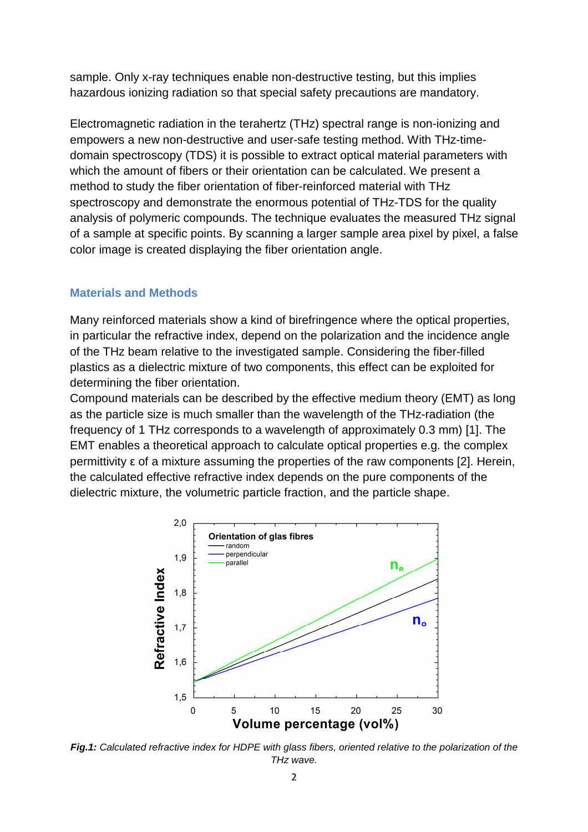sample. Only x-ray techniques enable non-destructive testing, but this implies hazardous ionizing radiation so that special safety precautions are mandatory.

Electromagnetic radiation in the terahertz (THz) spectral range is non-ionizing and empowers a new non-destructive and user-safe testing method. With THz-timedomain spectroscopy (TDS) it is possible to extract optical material parameters with which the amount of fibers or their orientation can be calculated. We present a method to study the fiber orientation of fiber-reinforced material with THz spectroscopy and demonstrate the enormous potential of THz-TDS for the quality analysis of polymeric compounds. The technique evaluates the measured THz signal of a sample at specific points. By scanning a larger sample area pixel by pixel, a false color image is created displaying the fiber orientation angle.

#### **Materials and Methods**

Many reinforced materials show a kind of birefringence where the optical properties, in particular the refractive index, depend on the polarization and the incidence angle of the THz beam relative to the investigated sample. Considering the fiber-filled plastics as a dielectric mixture of two components, this effect can be exploited for determining the fiber orientation.

Compound materials can be described by the effective medium theory (EMT) as long as the particle size is much smaller than the wavelength of the THz-radiation (the frequency of 1 THz corresponds to a wavelength of approximately 0.3 mm) [1]. The EMT enables a theoretical approach to calculate optical properties e.g. the complex permittivity ε of a mixture assuming the properties of the raw components [2]. Herein, the calculated effective refractive index depends on the pure components of the dielectric mixture, the volumetric particle fraction, and the particle shape.



**Fig.1:** Calculated refractive index for HDPE with glass fibers, oriented relative to the polarization of the THz wave.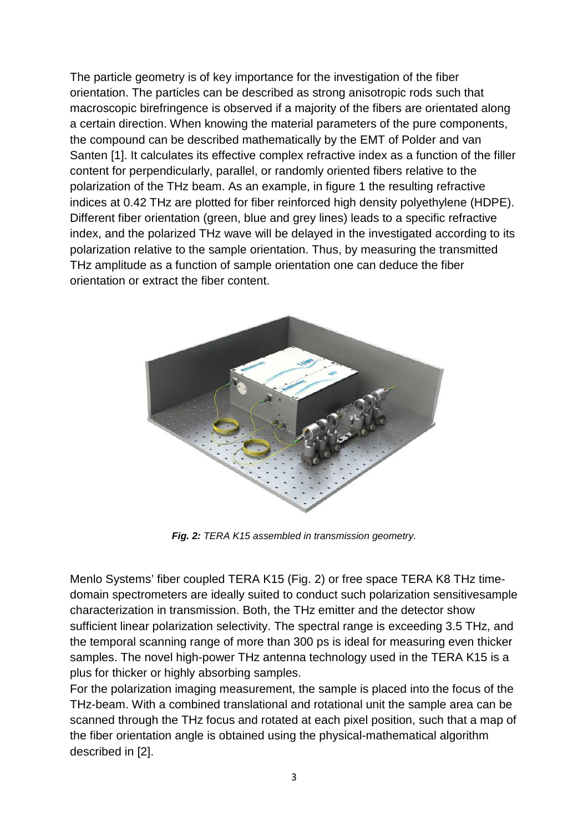The particle geometry is of key importance for the investigation of the fiber orientation. The particles can be described as strong anisotropic rods such that macroscopic birefringence is observed if a majority of the fibers are orientated along a certain direction. When knowing the material parameters of the pure components, the compound can be described mathematically by the EMT of Polder and van Santen [1]. It calculates its effective complex refractive index as a function of the filler content for perpendicularly, parallel, or randomly oriented fibers relative to the polarization of the THz beam. As an example, in figure 1 the resulting refractive indices at 0.42 THz are plotted for fiber reinforced high density polyethylene (HDPE). Different fiber orientation (green, blue and grey lines) leads to a specific refractive index, and the polarized THz wave will be delayed in the investigated according to its polarization relative to the sample orientation. Thus, by measuring the transmitted THz amplitude as a function of sample orientation one can deduce the fiber orientation or extract the fiber content.



**Fig. 2:** TERA K15 assembled in transmission geometry.

Menlo Systems' fiber coupled TERA K15 (Fig. 2) or free space TERA K8 THz timedomain spectrometers are ideally suited to conduct such polarization sensitivesample characterization in transmission. Both, the THz emitter and the detector show sufficient linear polarization selectivity. The spectral range is exceeding 3.5 THz, and the temporal scanning range of more than 300 ps is ideal for measuring even thicker samples. The novel high-power THz antenna technology used in the TERA K15 is a plus for thicker or highly absorbing samples.

For the polarization imaging measurement, the sample is placed into the focus of the THz-beam. With a combined translational and rotational unit the sample area can be scanned through the THz focus and rotated at each pixel position, such that a map of the fiber orientation angle is obtained using the physical-mathematical algorithm described in [2].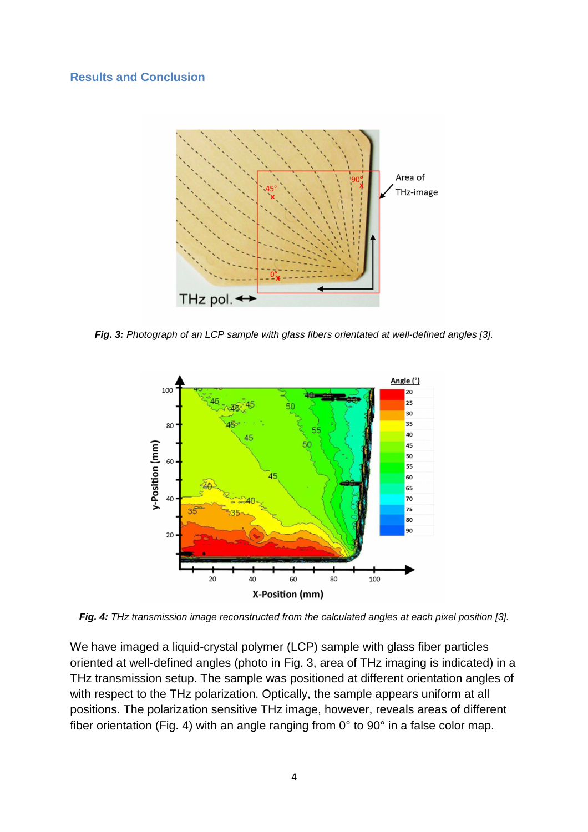#### **Results and Conclusion**



**Fig. 3:** Photograph of an LCP sample with glass fibers orientated at well-defined angles [3].



**Fig. 4:** THz transmission image reconstructed from the calculated angles at each pixel position [3].

We have imaged a liquid-crystal polymer (LCP) sample with glass fiber particles oriented at well-defined angles (photo in Fig. 3, area of THz imaging is indicated) in a THz transmission setup. The sample was positioned at different orientation angles of with respect to the THz polarization. Optically, the sample appears uniform at all positions. The polarization sensitive THz image, however, reveals areas of different fiber orientation (Fig. 4) with an angle ranging from 0° to 90° in a false color map.